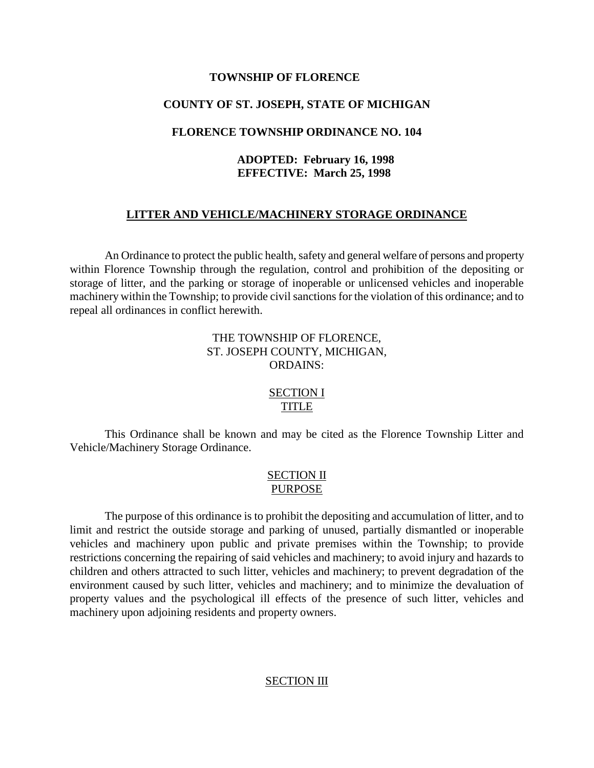#### **TOWNSHIP OF FLORENCE**

#### **COUNTY OF ST. JOSEPH, STATE OF MICHIGAN**

#### **FLORENCE TOWNSHIP ORDINANCE NO. 104**

### **ADOPTED: February 16, 1998 EFFECTIVE: March 25, 1998**

### **LITTER AND VEHICLE/MACHINERY STORAGE ORDINANCE**

An Ordinance to protect the public health, safety and general welfare of persons and property within Florence Township through the regulation, control and prohibition of the depositing or storage of litter, and the parking or storage of inoperable or unlicensed vehicles and inoperable machinery within the Township; to provide civil sanctions for the violation of this ordinance; and to repeal all ordinances in conflict herewith.

### THE TOWNSHIP OF FLORENCE, ST. JOSEPH COUNTY, MICHIGAN, ORDAINS:

# SECTION I TITLE

This Ordinance shall be known and may be cited as the Florence Township Litter and Vehicle/Machinery Storage Ordinance.

#### SECTION II PURPOSE

The purpose of this ordinance is to prohibit the depositing and accumulation of litter, and to limit and restrict the outside storage and parking of unused, partially dismantled or inoperable vehicles and machinery upon public and private premises within the Township; to provide restrictions concerning the repairing of said vehicles and machinery; to avoid injury and hazards to children and others attracted to such litter, vehicles and machinery; to prevent degradation of the environment caused by such litter, vehicles and machinery; and to minimize the devaluation of property values and the psychological ill effects of the presence of such litter, vehicles and machinery upon adjoining residents and property owners.

#### SECTION III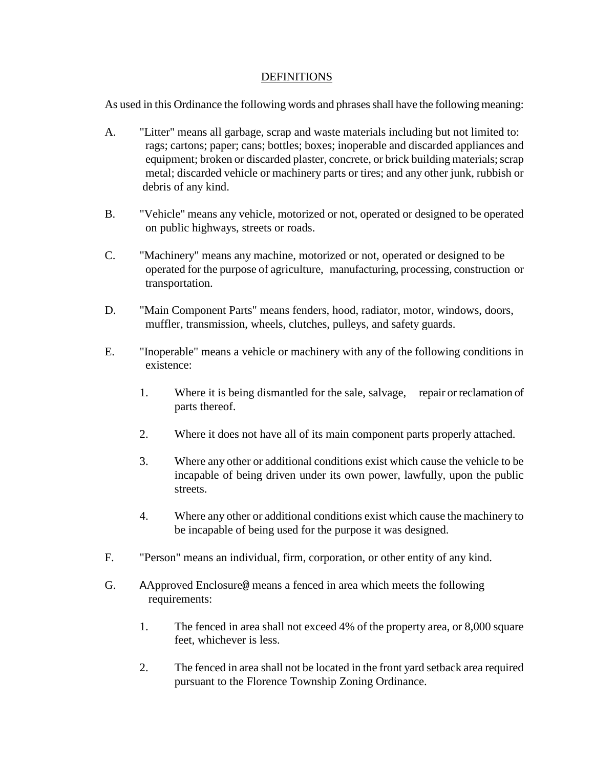#### DEFINITIONS

As used in this Ordinance the following words and phrases shall have the following meaning:

- A. "Litter" means all garbage, scrap and waste materials including but not limited to: rags; cartons; paper; cans; bottles; boxes; inoperable and discarded appliances and equipment; broken or discarded plaster, concrete, or brick building materials; scrap metal; discarded vehicle or machinery parts or tires; and any other junk, rubbish or debris of any kind.
- B. "Vehicle" means any vehicle, motorized or not, operated or designed to be operated on public highways, streets or roads.
- C. "Machinery" means any machine, motorized or not, operated or designed to be operated for the purpose of agriculture, manufacturing, processing, construction or transportation.
- D. "Main Component Parts" means fenders, hood, radiator, motor, windows, doors, muffler, transmission, wheels, clutches, pulleys, and safety guards.
- E. "Inoperable" means a vehicle or machinery with any of the following conditions in existence:
	- 1. Where it is being dismantled for the sale, salvage, repair or reclamation of parts thereof.
	- 2. Where it does not have all of its main component parts properly attached.
	- 3. Where any other or additional conditions exist which cause the vehicle to be incapable of being driven under its own power, lawfully, upon the public streets.
	- 4. Where any other or additional conditions exist which cause the machinery to be incapable of being used for the purpose it was designed.
- F. "Person" means an individual, firm, corporation, or other entity of any kind.
- G. AApproved Enclosure@ means a fenced in area which meets the following requirements:
	- 1. The fenced in area shall not exceed 4% of the property area, or 8,000 square feet, whichever is less.
	- 2. The fenced in area shall not be located in the front yard setback area required pursuant to the Florence Township Zoning Ordinance.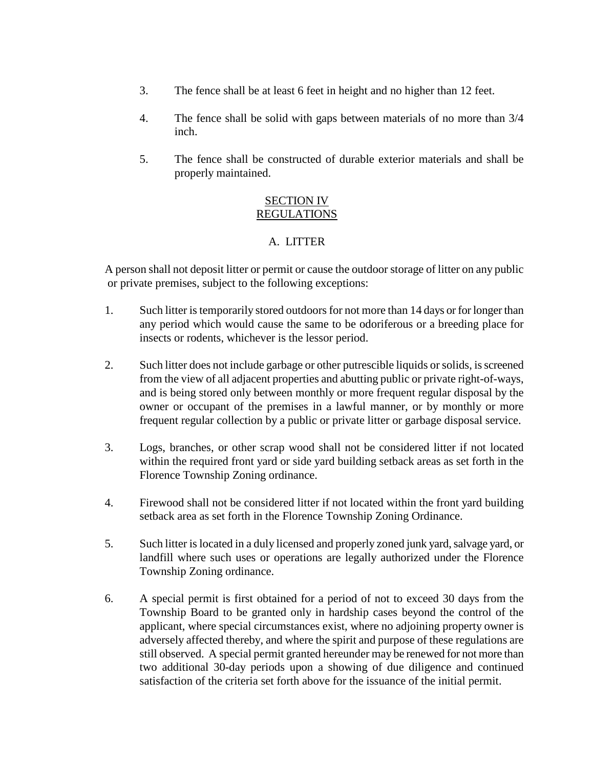- 3. The fence shall be at least 6 feet in height and no higher than 12 feet.
- 4. The fence shall be solid with gaps between materials of no more than 3/4 inch.
- 5. The fence shall be constructed of durable exterior materials and shall be properly maintained.

# SECTION IV REGULATIONS

# A. LITTER

A person shall not deposit litter or permit or cause the outdoor storage of litter on any public or private premises, subject to the following exceptions:

- 1. Such litter is temporarily stored outdoors for not more than 14 days or for longer than any period which would cause the same to be odoriferous or a breeding place for insects or rodents, whichever is the lessor period.
- 2. Such litter does not include garbage or other putrescible liquids or solids, is screened from the view of all adjacent properties and abutting public or private right-of-ways, and is being stored only between monthly or more frequent regular disposal by the owner or occupant of the premises in a lawful manner, or by monthly or more frequent regular collection by a public or private litter or garbage disposal service.
- 3. Logs, branches, or other scrap wood shall not be considered litter if not located within the required front yard or side yard building setback areas as set forth in the Florence Township Zoning ordinance.
- 4. Firewood shall not be considered litter if not located within the front yard building setback area as set forth in the Florence Township Zoning Ordinance.
- 5. Such litter is located in a duly licensed and properly zoned junk yard, salvage yard, or landfill where such uses or operations are legally authorized under the Florence Township Zoning ordinance.
- 6. A special permit is first obtained for a period of not to exceed 30 days from the Township Board to be granted only in hardship cases beyond the control of the applicant, where special circumstances exist, where no adjoining property owner is adversely affected thereby, and where the spirit and purpose of these regulations are still observed. A special permit granted hereunder may be renewed for not more than two additional 30-day periods upon a showing of due diligence and continued satisfaction of the criteria set forth above for the issuance of the initial permit.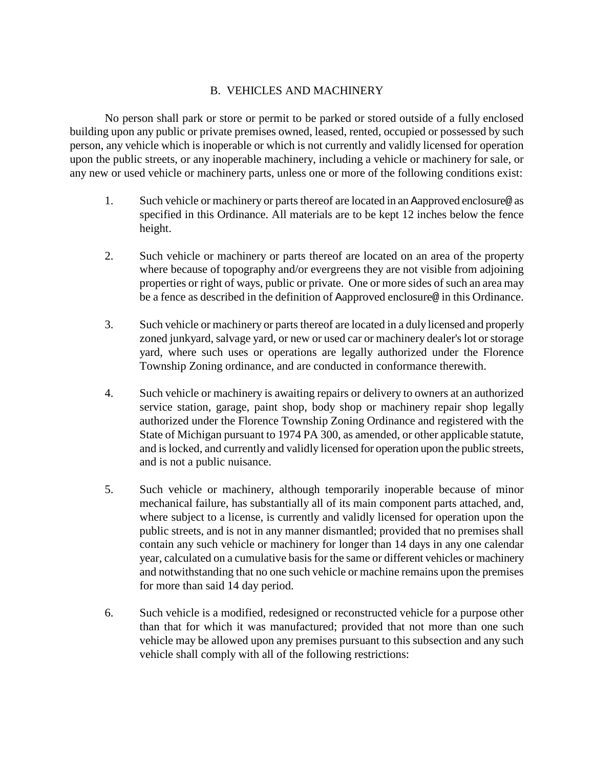## B. VEHICLES AND MACHINERY

No person shall park or store or permit to be parked or stored outside of a fully enclosed building upon any public or private premises owned, leased, rented, occupied or possessed by such person, any vehicle which is inoperable or which is not currently and validly licensed for operation upon the public streets, or any inoperable machinery, including a vehicle or machinery for sale, or any new or used vehicle or machinery parts, unless one or more of the following conditions exist:

- 1. Such vehicle or machinery or parts thereof are located in an Aapproved enclosure@ as specified in this Ordinance. All materials are to be kept 12 inches below the fence height.
- 2. Such vehicle or machinery or parts thereof are located on an area of the property where because of topography and/or evergreens they are not visible from adjoining properties or right of ways, public or private. One or more sides of such an area may be a fence as described in the definition of Aapproved enclosure@ in this Ordinance.
- 3. Such vehicle or machinery or parts thereof are located in a duly licensed and properly zoned junkyard, salvage yard, or new or used car or machinery dealer's lot or storage yard, where such uses or operations are legally authorized under the Florence Township Zoning ordinance, and are conducted in conformance therewith.
- 4. Such vehicle or machinery is awaiting repairs or delivery to owners at an authorized service station, garage, paint shop, body shop or machinery repair shop legally authorized under the Florence Township Zoning Ordinance and registered with the State of Michigan pursuant to 1974 PA 300, as amended, or other applicable statute, and is locked, and currently and validly licensed for operation upon the public streets, and is not a public nuisance.
- 5. Such vehicle or machinery, although temporarily inoperable because of minor mechanical failure, has substantially all of its main component parts attached, and, where subject to a license, is currently and validly licensed for operation upon the public streets, and is not in any manner dismantled; provided that no premises shall contain any such vehicle or machinery for longer than 14 days in any one calendar year, calculated on a cumulative basis for the same or different vehicles or machinery and notwithstanding that no one such vehicle or machine remains upon the premises for more than said 14 day period.
- 6. Such vehicle is a modified, redesigned or reconstructed vehicle for a purpose other than that for which it was manufactured; provided that not more than one such vehicle may be allowed upon any premises pursuant to this subsection and any such vehicle shall comply with all of the following restrictions: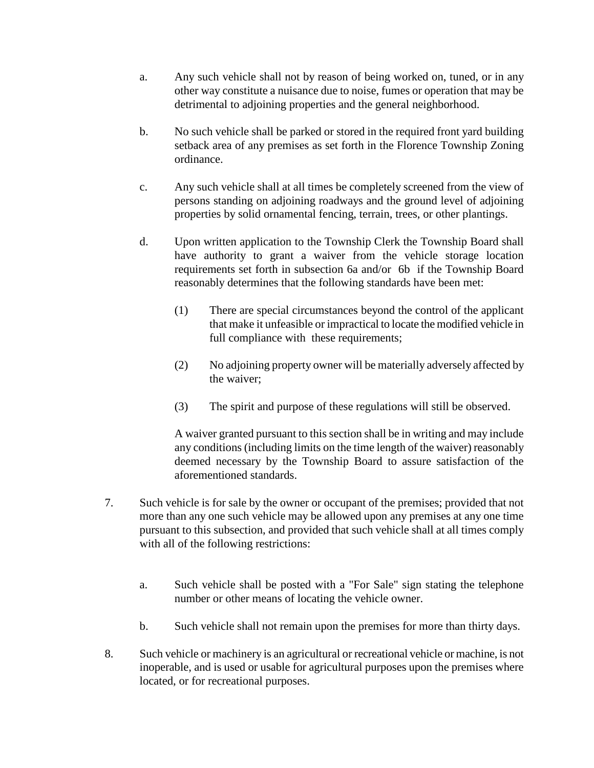- a. Any such vehicle shall not by reason of being worked on, tuned, or in any other way constitute a nuisance due to noise, fumes or operation that may be detrimental to adjoining properties and the general neighborhood.
- b. No such vehicle shall be parked or stored in the required front yard building setback area of any premises as set forth in the Florence Township Zoning ordinance.
- c. Any such vehicle shall at all times be completely screened from the view of persons standing on adjoining roadways and the ground level of adjoining properties by solid ornamental fencing, terrain, trees, or other plantings.
- d. Upon written application to the Township Clerk the Township Board shall have authority to grant a waiver from the vehicle storage location requirements set forth in subsection 6a and/or 6b if the Township Board reasonably determines that the following standards have been met:
	- (1) There are special circumstances beyond the control of the applicant that make it unfeasible or impractical to locate the modified vehicle in full compliance with these requirements;
	- (2) No adjoining property owner will be materially adversely affected by the waiver;
	- (3) The spirit and purpose of these regulations will still be observed.

A waiver granted pursuant to this section shall be in writing and may include any conditions (including limits on the time length of the waiver) reasonably deemed necessary by the Township Board to assure satisfaction of the aforementioned standards.

- 7. Such vehicle is for sale by the owner or occupant of the premises; provided that not more than any one such vehicle may be allowed upon any premises at any one time pursuant to this subsection, and provided that such vehicle shall at all times comply with all of the following restrictions:
	- a. Such vehicle shall be posted with a "For Sale" sign stating the telephone number or other means of locating the vehicle owner.
	- b. Such vehicle shall not remain upon the premises for more than thirty days.
- 8. Such vehicle or machinery is an agricultural or recreational vehicle or machine, is not inoperable, and is used or usable for agricultural purposes upon the premises where located, or for recreational purposes.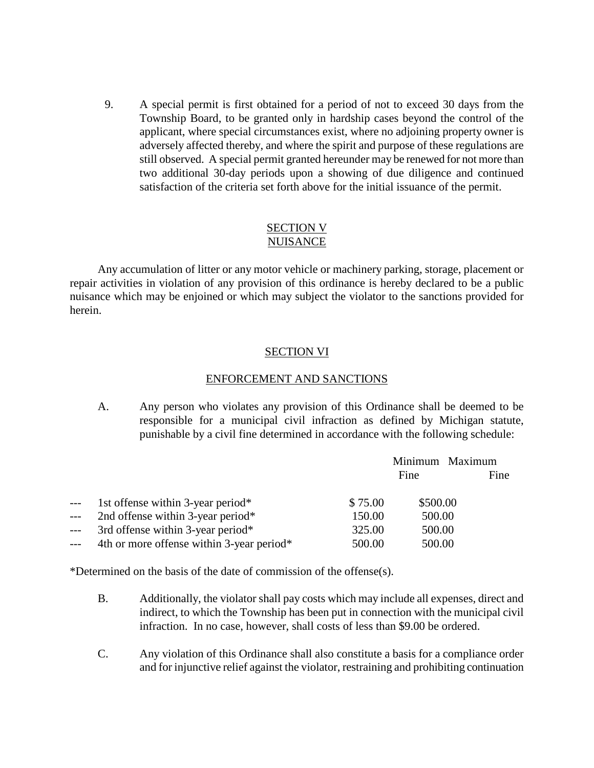9. A special permit is first obtained for a period of not to exceed 30 days from the Township Board, to be granted only in hardship cases beyond the control of the applicant, where special circumstances exist, where no adjoining property owner is adversely affected thereby, and where the spirit and purpose of these regulations are still observed. A special permit granted hereunder may be renewed for not more than two additional 30-day periods upon a showing of due diligence and continued satisfaction of the criteria set forth above for the initial issuance of the permit.

### SECTION V NUISANCE

Any accumulation of litter or any motor vehicle or machinery parking, storage, placement or repair activities in violation of any provision of this ordinance is hereby declared to be a public nuisance which may be enjoined or which may subject the violator to the sanctions provided for herein.

## SECTION VI

### ENFORCEMENT AND SANCTIONS

A. Any person who violates any provision of this Ordinance shall be deemed to be responsible for a municipal civil infraction as defined by Michigan statute, punishable by a civil fine determined in accordance with the following schedule:

|       |                                           |         | Minimum Maximum |      |
|-------|-------------------------------------------|---------|-----------------|------|
|       |                                           |         | Fine            | Fine |
| $---$ | 1st offense within 3-year period*         | \$75.00 | \$500.00        |      |
| ---   | 2nd offense within 3-year period*         | 150.00  | 500.00          |      |
| $---$ | 3rd offense within 3-year period*         | 325.00  | 500.00          |      |
| ---   | 4th or more offense within 3-year period* | 500.00  | 500.00          |      |
|       |                                           |         |                 |      |

\*Determined on the basis of the date of commission of the offense(s).

- B. Additionally, the violator shall pay costs which may include all expenses, direct and indirect, to which the Township has been put in connection with the municipal civil infraction. In no case, however, shall costs of less than \$9.00 be ordered.
- C. Any violation of this Ordinance shall also constitute a basis for a compliance order and for injunctive relief against the violator, restraining and prohibiting continuation